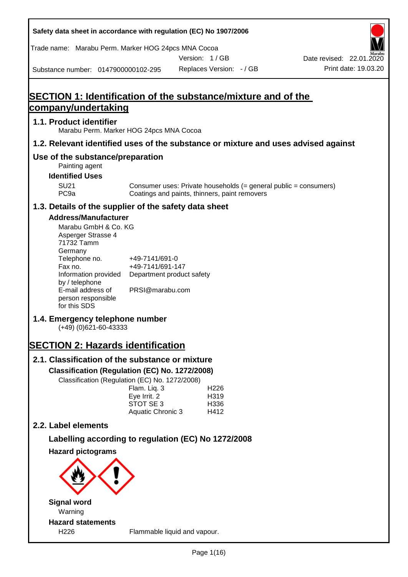| Safety data sheet in accordance with regulation (EC) No 1907/2006                                |                                               |                                           |                  |                                                                  |
|--------------------------------------------------------------------------------------------------|-----------------------------------------------|-------------------------------------------|------------------|------------------------------------------------------------------|
| Trade name: Marabu Perm. Marker HOG 24pcs MNA Cocoa                                              |                                               |                                           |                  |                                                                  |
| Substance number: 0147900000102-295                                                              |                                               | Version: 1/GB<br>Replaces Version: - / GB |                  | Date revised: 22.01.2020<br>Print date: 19.03.20                 |
|                                                                                                  |                                               |                                           |                  |                                                                  |
| <b>SECTION 1: Identification of the substance/mixture and of the</b>                             |                                               |                                           |                  |                                                                  |
| company/undertaking                                                                              |                                               |                                           |                  |                                                                  |
| 1.1. Product identifier<br>Marabu Perm. Marker HOG 24pcs MNA Cocoa                               |                                               |                                           |                  |                                                                  |
| 1.2. Relevant identified uses of the substance or mixture and uses advised against               |                                               |                                           |                  |                                                                  |
| Use of the substance/preparation<br>Painting agent                                               |                                               |                                           |                  |                                                                  |
| <b>Identified Uses</b>                                                                           |                                               |                                           |                  |                                                                  |
| <b>SU21</b><br>PC <sub>9a</sub>                                                                  | Coatings and paints, thinners, paint removers |                                           |                  | Consumer uses: Private households (= general public = consumers) |
| 1.3. Details of the supplier of the safety data sheet                                            |                                               |                                           |                  |                                                                  |
| <b>Address/Manufacturer</b>                                                                      |                                               |                                           |                  |                                                                  |
| Marabu GmbH & Co. KG<br>Asperger Strasse 4<br>71732 Tamm<br>Germany                              |                                               |                                           |                  |                                                                  |
| Telephone no.                                                                                    | +49-7141/691-0                                |                                           |                  |                                                                  |
| Fax no.<br>Information provided                                                                  | +49-7141/691-147<br>Department product safety |                                           |                  |                                                                  |
| by / telephone<br>E-mail address of                                                              | PRSI@marabu.com                               |                                           |                  |                                                                  |
| person responsible<br>for this SDS                                                               |                                               |                                           |                  |                                                                  |
| 1.4. Emergency telephone number<br>$(+49)$ (0)621-60-43333                                       |                                               |                                           |                  |                                                                  |
| <b>SECTION 2: Hazards identification</b>                                                         |                                               |                                           |                  |                                                                  |
| 2.1. Classification of the substance or mixture                                                  |                                               |                                           |                  |                                                                  |
| Classification (Regulation (EC) No. 1272/2008)<br>Classification (Regulation (EC) No. 1272/2008) |                                               |                                           |                  |                                                                  |
|                                                                                                  | Flam. Liq. 3                                  |                                           | H <sub>226</sub> |                                                                  |
|                                                                                                  | Eye Irrit. 2<br>STOT SE 3                     |                                           | H319<br>H336     |                                                                  |
|                                                                                                  | Aquatic Chronic 3                             |                                           | H412             |                                                                  |
| 2.2. Label elements                                                                              |                                               |                                           |                  |                                                                  |
| Labelling according to regulation (EC) No 1272/2008                                              |                                               |                                           |                  |                                                                  |
| <b>Hazard pictograms</b>                                                                         |                                               |                                           |                  |                                                                  |
|                                                                                                  |                                               |                                           |                  |                                                                  |
| <b>Signal word</b>                                                                               |                                               |                                           |                  |                                                                  |
| Warning                                                                                          |                                               |                                           |                  |                                                                  |
| <b>Hazard statements</b><br>H226                                                                 | Flammable liquid and vapour.                  |                                           |                  |                                                                  |
|                                                                                                  |                                               |                                           |                  |                                                                  |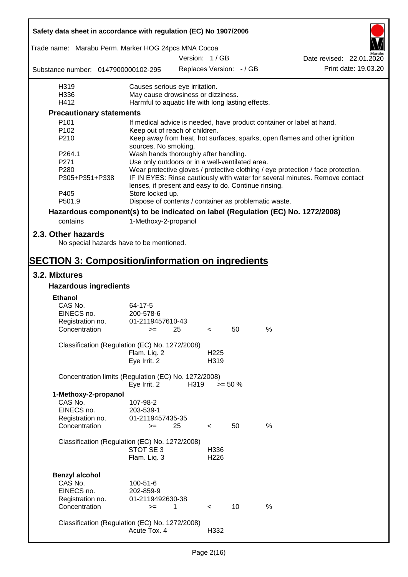| Safety data sheet in accordance with regulation (EC) No 1907/2006               |                                                       |               |                          |                          |                                                                                  |                          |
|---------------------------------------------------------------------------------|-------------------------------------------------------|---------------|--------------------------|--------------------------|----------------------------------------------------------------------------------|--------------------------|
| Trade name: Marabu Perm. Marker HOG 24pcs MNA Cocoa                             |                                                       | Version: 1/GB |                          |                          |                                                                                  | Date revised: 22.01.2020 |
| Substance number: 0147900000102-295                                             |                                                       |               |                          | Replaces Version: - / GB |                                                                                  | Print date: 19.03.20     |
|                                                                                 |                                                       |               |                          |                          |                                                                                  |                          |
| H319                                                                            | Causes serious eye irritation.                        |               |                          |                          |                                                                                  |                          |
| H336                                                                            | May cause drowsiness or dizziness.                    |               |                          |                          |                                                                                  |                          |
| H412                                                                            | Harmful to aquatic life with long lasting effects.    |               |                          |                          |                                                                                  |                          |
| <b>Precautionary statements</b>                                                 |                                                       |               |                          |                          |                                                                                  |                          |
| P101                                                                            |                                                       |               |                          |                          | If medical advice is needed, have product container or label at hand.            |                          |
| P <sub>102</sub>                                                                | Keep out of reach of children.                        |               |                          |                          |                                                                                  |                          |
| P210                                                                            | sources. No smoking.                                  |               |                          |                          | Keep away from heat, hot surfaces, sparks, open flames and other ignition        |                          |
| P264.1                                                                          | Wash hands thoroughly after handling.                 |               |                          |                          |                                                                                  |                          |
| P271                                                                            | Use only outdoors or in a well-ventilated area.       |               |                          |                          |                                                                                  |                          |
| P280                                                                            |                                                       |               |                          |                          | Wear protective gloves / protective clothing / eye protection / face protection. |                          |
| P305+P351+P338                                                                  | lenses, if present and easy to do. Continue rinsing.  |               |                          |                          | IF IN EYES: Rinse cautiously with water for several minutes. Remove contact      |                          |
| P405                                                                            | Store locked up.                                      |               |                          |                          |                                                                                  |                          |
| P501.9                                                                          | Dispose of contents / container as problematic waste. |               |                          |                          |                                                                                  |                          |
| Hazardous component(s) to be indicated on label (Regulation (EC) No. 1272/2008) |                                                       |               |                          |                          |                                                                                  |                          |
| contains                                                                        | 1-Methoxy-2-propanol                                  |               |                          |                          |                                                                                  |                          |
| 2.3. Other hazards<br>No special hazards have to be mentioned.                  |                                                       |               |                          |                          |                                                                                  |                          |
|                                                                                 |                                                       |               |                          |                          |                                                                                  |                          |
| <b>SECTION 3: Composition/information on ingredients</b><br>3.2. Mixtures       |                                                       |               |                          |                          |                                                                                  |                          |
|                                                                                 |                                                       |               |                          |                          |                                                                                  |                          |
| <b>Hazardous ingredients</b>                                                    |                                                       |               |                          |                          |                                                                                  |                          |
| <b>Ethanol</b>                                                                  |                                                       |               |                          |                          |                                                                                  |                          |
| CAS No.                                                                         | 64-17-5                                               |               |                          |                          |                                                                                  |                          |
| EINECS no.                                                                      | 200-578-6                                             |               |                          |                          |                                                                                  |                          |
| Registration no.                                                                | 01-2119457610-43                                      |               |                          |                          |                                                                                  |                          |
| Concentration                                                                   | $>=$ 25                                               |               | $\epsilon$               | 50                       | %                                                                                |                          |
| Classification (Regulation (EC) No. 1272/2008)                                  |                                                       |               |                          |                          |                                                                                  |                          |
|                                                                                 | Flam. Liq. 2                                          |               | H <sub>225</sub>         |                          |                                                                                  |                          |
|                                                                                 | Eye Irrit. 2                                          |               | H319                     |                          |                                                                                  |                          |
| Concentration limits (Regulation (EC) No. 1272/2008)                            |                                                       |               |                          |                          |                                                                                  |                          |
|                                                                                 | Eye Irrit. 2                                          | H319          |                          | $>= 50 \%$               |                                                                                  |                          |
| 1-Methoxy-2-propanol                                                            |                                                       |               |                          |                          |                                                                                  |                          |
| CAS No.                                                                         | 107-98-2                                              |               |                          |                          |                                                                                  |                          |
| EINECS no.                                                                      | 203-539-1                                             |               |                          |                          |                                                                                  |                          |
| Registration no.                                                                | 01-2119457435-35                                      |               |                          |                          |                                                                                  |                          |
| Concentration                                                                   | $=$                                                   | 25            | $\,<\,$                  | 50                       | %                                                                                |                          |
|                                                                                 |                                                       |               |                          |                          |                                                                                  |                          |
| Classification (Regulation (EC) No. 1272/2008)                                  | STOT SE 3                                             |               |                          |                          |                                                                                  |                          |
|                                                                                 | Flam. Liq. 3                                          |               | H336<br>H <sub>226</sub> |                          |                                                                                  |                          |
|                                                                                 |                                                       |               |                          |                          |                                                                                  |                          |
| <b>Benzyl alcohol</b>                                                           |                                                       |               |                          |                          |                                                                                  |                          |
| CAS No.                                                                         | 100-51-6                                              |               |                          |                          |                                                                                  |                          |
| EINECS no.                                                                      | 202-859-9                                             |               |                          |                          |                                                                                  |                          |
| Registration no.                                                                | 01-2119492630-38                                      |               |                          |                          |                                                                                  |                          |
| Concentration                                                                   | $>=$                                                  | 1             | $\lt$                    | 10                       | $\%$                                                                             |                          |
|                                                                                 |                                                       |               |                          |                          |                                                                                  |                          |
| Classification (Regulation (EC) No. 1272/2008)                                  |                                                       |               |                          |                          |                                                                                  |                          |
|                                                                                 | Acute Tox. 4                                          |               | H332                     |                          |                                                                                  |                          |
|                                                                                 |                                                       |               |                          |                          |                                                                                  |                          |

 $\mathbf{r}$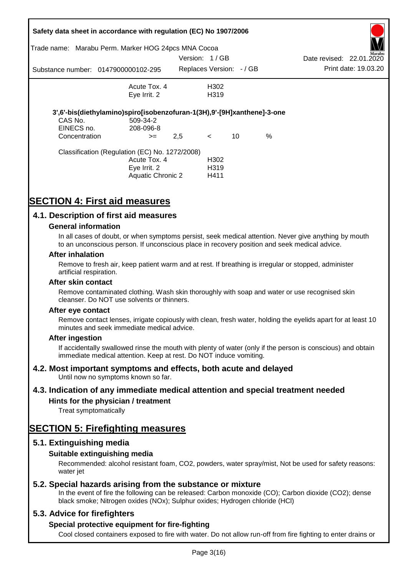| Safety data sheet in accordance with regulation (EC) No 1907/2006 |                                                                         |               |                          |    |      |                          |                      |
|-------------------------------------------------------------------|-------------------------------------------------------------------------|---------------|--------------------------|----|------|--------------------------|----------------------|
| Trade name:                                                       | Marabu Perm. Marker HOG 24pcs MNA Cocoa                                 |               |                          |    |      |                          | Marabu               |
|                                                                   |                                                                         | Version: 1/GB |                          |    |      | Date revised: 22.01.2020 |                      |
|                                                                   | Substance number: 0147900000102-295                                     |               | Replaces Version: - / GB |    |      |                          | Print date: 19.03.20 |
|                                                                   | Acute Tox. 4                                                            |               | H302                     |    |      |                          |                      |
|                                                                   | Eye Irrit. 2                                                            |               | H <sub>3</sub> 19        |    |      |                          |                      |
|                                                                   | 3',6'-bis(diethylamino)spiro[isobenzofuran-1(3H),9'-[9H]xanthene]-3-one |               |                          |    |      |                          |                      |
| CAS No.                                                           | 509-34-2                                                                |               |                          |    |      |                          |                      |
| EINECS no.                                                        | 208-096-8                                                               |               |                          |    |      |                          |                      |
| Concentration                                                     | $>=$                                                                    | 2,5           | $\leq$                   | 10 | $\%$ |                          |                      |
|                                                                   | Classification (Regulation (EC) No. 1272/2008)                          |               |                          |    |      |                          |                      |
|                                                                   | Acute Tox. 4                                                            |               | H <sub>302</sub>         |    |      |                          |                      |
|                                                                   | Eye Irrit. 2                                                            |               | H <sub>3</sub> 19        |    |      |                          |                      |
|                                                                   | Aquatic Chronic 2                                                       |               | H411                     |    |      |                          |                      |

# **SECTION 4: First aid measures**

### **4.1. Description of first aid measures**

#### **General information**

In all cases of doubt, or when symptoms persist, seek medical attention. Never give anything by mouth to an unconscious person. If unconscious place in recovery position and seek medical advice.

#### **After inhalation**

Remove to fresh air, keep patient warm and at rest. If breathing is irregular or stopped, administer artificial respiration.

#### **After skin contact**

Remove contaminated clothing. Wash skin thoroughly with soap and water or use recognised skin cleanser. Do NOT use solvents or thinners.

#### **After eye contact**

Remove contact lenses, irrigate copiously with clean, fresh water, holding the eyelids apart for at least 10 minutes and seek immediate medical advice.

#### **After ingestion**

If accidentally swallowed rinse the mouth with plenty of water (only if the person is conscious) and obtain immediate medical attention. Keep at rest. Do NOT induce vomiting.

### **4.2. Most important symptoms and effects, both acute and delayed**

Until now no symptoms known so far.

### **4.3. Indication of any immediate medical attention and special treatment needed**

### **Hints for the physician / treatment**

Treat symptomatically

# **SECTION 5: Firefighting measures**

### **5.1. Extinguishing media**

### **Suitable extinguishing media**

Recommended: alcohol resistant foam, CO2, powders, water spray/mist, Not be used for safety reasons: water *iet* 

### **5.2. Special hazards arising from the substance or mixture**

In the event of fire the following can be released: Carbon monoxide (CO); Carbon dioxide (CO2); dense black smoke; Nitrogen oxides (NOx); Sulphur oxides; Hydrogen chloride (HCl)

### **5.3. Advice for firefighters**

### **Special protective equipment for fire-fighting**

Cool closed containers exposed to fire with water. Do not allow run-off from fire fighting to enter drains or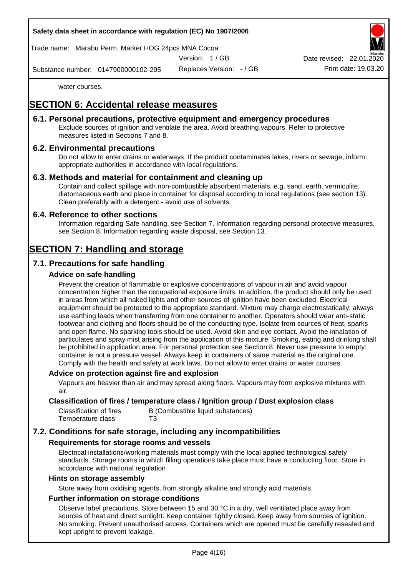#### **Safety data sheet in accordance with regulation (EC) No 1907/2006**

Trade name: Marabu Perm. Marker HOG 24pcs MNA Cocoa

Version: 1 / GB

Replaces Version: - / GB Print date: 19.03.20 Date revised: 22.01.

Substance number: 0147900000102-295

water courses.

# **SECTION 6: Accidental release measures**

### **6.1. Personal precautions, protective equipment and emergency procedures**

Exclude sources of ignition and ventilate the area. Avoid breathing vapours. Refer to protective measures listed in Sections 7 and 8.

### **6.2. Environmental precautions**

Do not allow to enter drains or waterways. If the product contaminates lakes, rivers or sewage, inform appropriate authorities in accordance with local regulations.

### **6.3. Methods and material for containment and cleaning up**

Contain and collect spillage with non-combustible absorbent materials, e.g. sand, earth, vermiculite, diatomaceous earth and place in container for disposal according to local regulations (see section 13). Clean preferably with a detergent - avoid use of solvents.

### **6.4. Reference to other sections**

Information regarding Safe handling, see Section 7. Information regarding personal protective measures, see Section 8. Information regarding waste disposal, see Section 13.

# **SECTION 7: Handling and storage**

### **7.1. Precautions for safe handling**

### **Advice on safe handling**

Prevent the creation of flammable or explosive concentrations of vapour in air and avoid vapour concentration higher than the occupational exposure limits. In addition, the product should only be used in areas from which all naked lights and other sources of ignition have been excluded. Electrical equipment should be protected to the appropriate standard. Mixture may charge electrostatically: always use earthing leads when transferring from one container to another. Operators should wear anti-static footwear and clothing and floors should be of the conducting type. Isolate from sources of heat, sparks and open flame. No sparking tools should be used. Avoid skin and eye contact. Avoid the inhalation of particulates and spray mist arising from the application of this mixture. Smoking, eating and drinking shall be prohibited in application area. For personal protection see Section 8. Never use pressure to empty: container is not a pressure vessel. Always keep in containers of same material as the original one. Comply with the health and safety at work laws. Do not allow to enter drains or water courses.

#### **Advice on protection against fire and explosion**

Vapours are heavier than air and may spread along floors. Vapours may form explosive mixtures with air.

#### **Classification of fires / temperature class / Ignition group / Dust explosion class**

| Classification of fires | B (Combustible liquid substances) |
|-------------------------|-----------------------------------|
| Temperature class       | T3                                |

### **7.2. Conditions for safe storage, including any incompatibilities**

### **Requirements for storage rooms and vessels**

Electrical installations/working materials must comply with the local applied technological safety standards. Storage rooms in which filling operations take place must have a conducting floor. Store in accordance with national regulation

#### **Hints on storage assembly**

Store away from oxidising agents, from strongly alkaline and strongly acid materials.

#### **Further information on storage conditions**

Observe label precautions. Store between 15 and 30 °C in a dry, well ventilated place away from sources of heat and direct sunlight. Keep container tightly closed. Keep away from sources of ignition. No smoking. Prevent unauthorised access. Containers which are opened must be carefully resealed and kept upright to prevent leakage.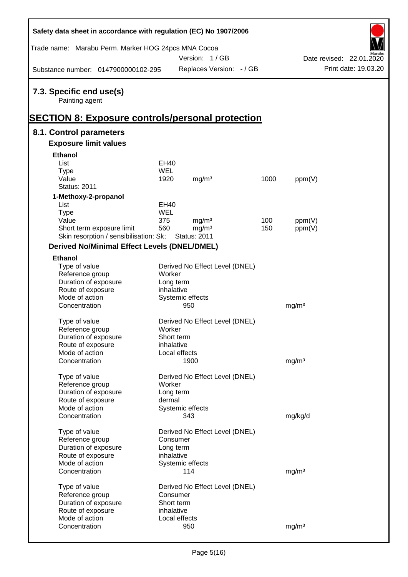| Safety data sheet in accordance with regulation (EC) No 1907/2006                                     |                        |                                |      |                   |                          |
|-------------------------------------------------------------------------------------------------------|------------------------|--------------------------------|------|-------------------|--------------------------|
| Trade name: Marabu Perm. Marker HOG 24pcs MNA Cocoa                                                   |                        | Version: 1/GB                  |      |                   | Date revised: 22.01.2020 |
| Substance number: 0147900000102-295                                                                   |                        | Replaces Version: - / GB       |      |                   | Print date: 19.03.20     |
| 7.3. Specific end use(s)<br>Painting agent<br><b>SECTION 8: Exposure controls/personal protection</b> |                        |                                |      |                   |                          |
| 8.1. Control parameters                                                                               |                        |                                |      |                   |                          |
| <b>Exposure limit values</b>                                                                          |                        |                                |      |                   |                          |
| <b>Ethanol</b>                                                                                        |                        |                                |      |                   |                          |
| List                                                                                                  | EH40                   |                                |      |                   |                          |
| <b>Type</b>                                                                                           | <b>WEL</b>             |                                |      |                   |                          |
| Value                                                                                                 | 1920                   | mg/m <sup>3</sup>              | 1000 | ppm(V)            |                          |
| <b>Status: 2011</b>                                                                                   |                        |                                |      |                   |                          |
| 1-Methoxy-2-propanol                                                                                  |                        |                                |      |                   |                          |
| List                                                                                                  | EH40                   |                                |      |                   |                          |
| <b>Type</b>                                                                                           | <b>WEL</b>             |                                |      |                   |                          |
| Value                                                                                                 | 375                    | mg/m <sup>3</sup>              | 100  | ppm(V)            |                          |
| Short term exposure limit                                                                             | 560                    | mg/m <sup>3</sup>              | 150  | ppm(V)            |                          |
| Skin resorption / sensibilisation: Sk;                                                                |                        | <b>Status: 2011</b>            |      |                   |                          |
| <b>Derived No/Minimal Effect Levels (DNEL/DMEL)</b>                                                   |                        |                                |      |                   |                          |
| <b>Ethanol</b>                                                                                        |                        |                                |      |                   |                          |
| Type of value                                                                                         |                        | Derived No Effect Level (DNEL) |      |                   |                          |
| Reference group                                                                                       | Worker                 |                                |      |                   |                          |
| Duration of exposure                                                                                  | Long term              |                                |      |                   |                          |
| Route of exposure<br>Mode of action                                                                   | inhalative             | Systemic effects               |      |                   |                          |
| Concentration                                                                                         |                        | 950                            |      | mg/m <sup>3</sup> |                          |
|                                                                                                       |                        |                                |      |                   |                          |
| Type of value                                                                                         |                        | Derived No Effect Level (DNEL) |      |                   |                          |
| Reference group                                                                                       | Worker                 |                                |      |                   |                          |
| Duration of exposure                                                                                  | Short term             |                                |      |                   |                          |
| Route of exposure                                                                                     | inhalative             |                                |      |                   |                          |
| Mode of action                                                                                        |                        | Local effects                  |      |                   |                          |
| Concentration                                                                                         |                        | 1900                           |      | mg/m <sup>3</sup> |                          |
| Type of value                                                                                         |                        | Derived No Effect Level (DNEL) |      |                   |                          |
| Reference group                                                                                       | Worker                 |                                |      |                   |                          |
| Duration of exposure                                                                                  | Long term              |                                |      |                   |                          |
| Route of exposure                                                                                     | dermal                 |                                |      |                   |                          |
| Mode of action                                                                                        |                        | Systemic effects               |      |                   |                          |
| Concentration                                                                                         |                        | 343                            |      | mg/kg/d           |                          |
| Type of value                                                                                         |                        | Derived No Effect Level (DNEL) |      |                   |                          |
| Reference group                                                                                       | Consumer               |                                |      |                   |                          |
| Duration of exposure                                                                                  | Long term              |                                |      |                   |                          |
| Route of exposure                                                                                     | inhalative             |                                |      |                   |                          |
| Mode of action                                                                                        |                        | Systemic effects               |      |                   |                          |
| Concentration                                                                                         |                        | 114                            |      | mg/m <sup>3</sup> |                          |
|                                                                                                       |                        |                                |      |                   |                          |
| Type of value                                                                                         |                        | Derived No Effect Level (DNEL) |      |                   |                          |
| Reference group<br>Duration of exposure                                                               | Consumer<br>Short term |                                |      |                   |                          |
| Route of exposure                                                                                     | inhalative             |                                |      |                   |                          |
| Mode of action                                                                                        |                        | Local effects                  |      |                   |                          |
| Concentration                                                                                         |                        | 950                            |      | mg/m <sup>3</sup> |                          |
|                                                                                                       |                        |                                |      |                   |                          |

 $\mathsf{r}$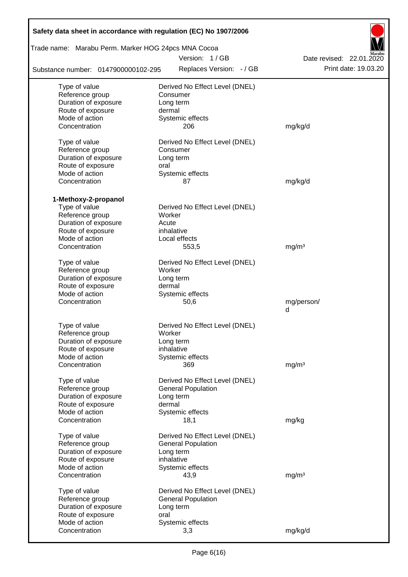| Safety data sheet in accordance with regulation (EC) No 1907/2006 |                                |                          |  |  |  |  |
|-------------------------------------------------------------------|--------------------------------|--------------------------|--|--|--|--|
| Trade name: Marabu Perm. Marker HOG 24pcs MNA Cocoa               |                                |                          |  |  |  |  |
|                                                                   | Version: 1/GB                  | Date revised: 22.01.2020 |  |  |  |  |
| Substance number: 0147900000102-295                               | Replaces Version: - / GB       | Print date: 19.03.20     |  |  |  |  |
| Type of value                                                     | Derived No Effect Level (DNEL) |                          |  |  |  |  |
| Reference group                                                   | Consumer                       |                          |  |  |  |  |
| Duration of exposure                                              | Long term                      |                          |  |  |  |  |
| Route of exposure                                                 | dermal                         |                          |  |  |  |  |
| Mode of action                                                    | Systemic effects               |                          |  |  |  |  |
| Concentration                                                     | 206                            | mg/kg/d                  |  |  |  |  |
| Type of value                                                     | Derived No Effect Level (DNEL) |                          |  |  |  |  |
| Reference group                                                   | Consumer                       |                          |  |  |  |  |
| Duration of exposure                                              | Long term                      |                          |  |  |  |  |
| Route of exposure                                                 | oral                           |                          |  |  |  |  |
| Mode of action                                                    | Systemic effects               |                          |  |  |  |  |
| Concentration                                                     | 87                             | mg/kg/d                  |  |  |  |  |
|                                                                   |                                |                          |  |  |  |  |
| 1-Methoxy-2-propanol                                              |                                |                          |  |  |  |  |
| Type of value                                                     | Derived No Effect Level (DNEL) |                          |  |  |  |  |
| Reference group                                                   | Worker                         |                          |  |  |  |  |
| Duration of exposure                                              | Acute                          |                          |  |  |  |  |
| Route of exposure                                                 | inhalative                     |                          |  |  |  |  |
| Mode of action                                                    | Local effects                  |                          |  |  |  |  |
| Concentration                                                     | 553,5                          | mg/m <sup>3</sup>        |  |  |  |  |
| Type of value                                                     | Derived No Effect Level (DNEL) |                          |  |  |  |  |
| Reference group                                                   | Worker                         |                          |  |  |  |  |
| Duration of exposure                                              | Long term                      |                          |  |  |  |  |
| Route of exposure                                                 | dermal                         |                          |  |  |  |  |
| Mode of action                                                    | Systemic effects               |                          |  |  |  |  |
| Concentration                                                     | 50,6                           | mg/person/               |  |  |  |  |
|                                                                   |                                | d                        |  |  |  |  |
| Type of value                                                     | Derived No Effect Level (DNEL) |                          |  |  |  |  |
| Reference group                                                   | Worker                         |                          |  |  |  |  |
| Duration of exposure                                              | Long term                      |                          |  |  |  |  |
| Route of exposure                                                 | inhalative                     |                          |  |  |  |  |
| Mode of action                                                    | Systemic effects               |                          |  |  |  |  |
| Concentration                                                     | 369                            | mg/m <sup>3</sup>        |  |  |  |  |
|                                                                   |                                |                          |  |  |  |  |
| Type of value                                                     | Derived No Effect Level (DNEL) |                          |  |  |  |  |
| Reference group                                                   | <b>General Population</b>      |                          |  |  |  |  |
| Duration of exposure<br>Route of exposure                         | Long term<br>dermal            |                          |  |  |  |  |
| Mode of action                                                    | Systemic effects               |                          |  |  |  |  |
| Concentration                                                     | 18,1                           | mg/kg                    |  |  |  |  |
|                                                                   |                                |                          |  |  |  |  |
| Type of value                                                     | Derived No Effect Level (DNEL) |                          |  |  |  |  |
| Reference group                                                   | <b>General Population</b>      |                          |  |  |  |  |
| Duration of exposure                                              | Long term                      |                          |  |  |  |  |
| Route of exposure                                                 | inhalative                     |                          |  |  |  |  |
| Mode of action                                                    | Systemic effects               |                          |  |  |  |  |
| Concentration                                                     | 43,9                           | mg/m <sup>3</sup>        |  |  |  |  |
| Type of value                                                     | Derived No Effect Level (DNEL) |                          |  |  |  |  |
| Reference group                                                   | <b>General Population</b>      |                          |  |  |  |  |
| Duration of exposure                                              | Long term                      |                          |  |  |  |  |
| Route of exposure                                                 | oral                           |                          |  |  |  |  |
| Mode of action                                                    | Systemic effects               |                          |  |  |  |  |
| Concentration                                                     | 3,3                            | mg/kg/d                  |  |  |  |  |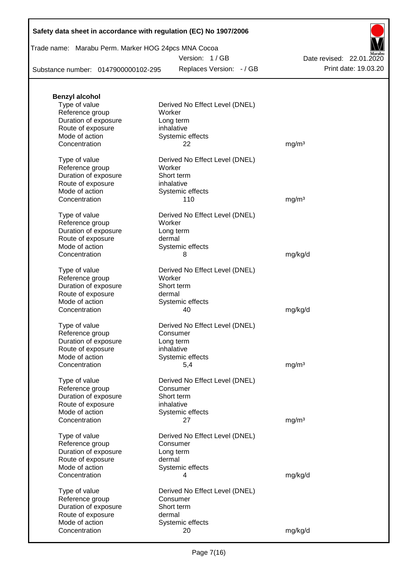| Safety data sheet in accordance with regulation (EC) No 1907/2006 |  |  |  |  |
|-------------------------------------------------------------------|--|--|--|--|
|-------------------------------------------------------------------|--|--|--|--|

| Trade name: Marabu Perm. Marker HOG 24pcs MNA Cocoa |  |  |
|-----------------------------------------------------|--|--|
|                                                     |  |  |

Version: 1 / GB

Replaces Version:  $-$  / GB Print date: 19.03.20 Date revised: 22.01.2020

Substance number: 0147900000102-295

| <b>Benzyl alcohol</b> |                                |                   |
|-----------------------|--------------------------------|-------------------|
| Type of value         | Derived No Effect Level (DNEL) |                   |
| Reference group       | Worker                         |                   |
| Duration of exposure  | Long term                      |                   |
| Route of exposure     | inhalative                     |                   |
| Mode of action        | Systemic effects               |                   |
| Concentration         | 22                             | mg/m <sup>3</sup> |
| Type of value         | Derived No Effect Level (DNEL) |                   |
| Reference group       | Worker                         |                   |
| Duration of exposure  | Short term                     |                   |
| Route of exposure     | inhalative                     |                   |
| Mode of action        | Systemic effects               |                   |
| Concentration         | 110                            | mg/m <sup>3</sup> |
| Type of value         | Derived No Effect Level (DNEL) |                   |
| Reference group       | Worker                         |                   |
| Duration of exposure  | Long term                      |                   |
| Route of exposure     | dermal                         |                   |
| Mode of action        | Systemic effects               |                   |
| Concentration         | 8                              | mg/kg/d           |
|                       |                                |                   |
| Type of value         | Derived No Effect Level (DNEL) |                   |
| Reference group       | Worker                         |                   |
| Duration of exposure  | Short term                     |                   |
| Route of exposure     | dermal                         |                   |
| Mode of action        | Systemic effects               |                   |
| Concentration         | 40                             | mg/kg/d           |
| Type of value         | Derived No Effect Level (DNEL) |                   |
| Reference group       | Consumer                       |                   |
| Duration of exposure  | Long term                      |                   |
| Route of exposure     | inhalative                     |                   |
| Mode of action        | Systemic effects               |                   |
| Concentration         | 5,4                            | mg/m <sup>3</sup> |
| Type of value         | Derived No Effect Level (DNEL) |                   |
| Reference group       | Consumer                       |                   |
| Duration of exposure  | Short term                     |                   |
| Route of exposure     | inhalative                     |                   |
| Mode of action        | Systemic effects               |                   |
| Concentration         | 27                             | mg/m <sup>3</sup> |
|                       |                                |                   |
| Type of value         | Derived No Effect Level (DNEL) |                   |
| Reference group       | Consumer                       |                   |
| Duration of exposure  | Long term                      |                   |
| Route of exposure     | dermal                         |                   |
| Mode of action        | Systemic effects               |                   |
| Concentration         | 4                              | mg/kg/d           |
| Type of value         | Derived No Effect Level (DNEL) |                   |
| Reference group       | Consumer                       |                   |
| Duration of exposure  | Short term                     |                   |
| Route of exposure     | dermal                         |                   |
| Mode of action        | Systemic effects               |                   |
| Concentration         | 20                             | mg/kg/d           |
|                       |                                |                   |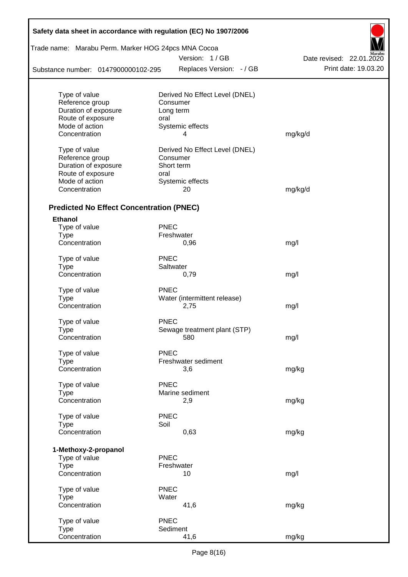| Safety data sheet in accordance with regulation (EC) No 1907/2006 |             |                                |                                    |
|-------------------------------------------------------------------|-------------|--------------------------------|------------------------------------|
| Trade name: Marabu Perm. Marker HOG 24pcs MNA Cocoa               |             |                                |                                    |
|                                                                   |             | Version: 1/GB                  | Marabu<br>Date revised: 22.01.2020 |
| Substance number: 0147900000102-295                               |             | Replaces Version: - / GB       | Print date: 19.03.20               |
|                                                                   |             |                                |                                    |
| Type of value                                                     |             | Derived No Effect Level (DNEL) |                                    |
| Reference group                                                   |             | Consumer                       |                                    |
| Duration of exposure                                              |             | Long term                      |                                    |
| Route of exposure                                                 | oral        |                                |                                    |
| Mode of action                                                    |             | Systemic effects               |                                    |
| Concentration                                                     |             | 4                              | mg/kg/d                            |
| Type of value                                                     |             | Derived No Effect Level (DNEL) |                                    |
| Reference group                                                   |             | Consumer                       |                                    |
| Duration of exposure                                              |             | Short term                     |                                    |
| Route of exposure                                                 | oral        |                                |                                    |
| Mode of action                                                    |             | Systemic effects               |                                    |
| Concentration                                                     |             | 20                             | mg/kg/d                            |
| <b>Predicted No Effect Concentration (PNEC)</b>                   |             |                                |                                    |
| <b>Ethanol</b>                                                    |             |                                |                                    |
| Type of value                                                     | <b>PNEC</b> |                                |                                    |
| <b>Type</b>                                                       |             | Freshwater                     |                                    |
| Concentration                                                     |             | 0,96                           | mg/l                               |
|                                                                   | <b>PNEC</b> |                                |                                    |
| Type of value<br><b>Type</b>                                      |             | Saltwater                      |                                    |
| Concentration                                                     |             | 0,79                           | mg/l                               |
|                                                                   |             |                                |                                    |
| Type of value                                                     | <b>PNEC</b> |                                |                                    |
| <b>Type</b>                                                       |             | Water (intermittent release)   |                                    |
| Concentration                                                     |             | 2,75                           | mg/l                               |
| Type of value                                                     | <b>PNEC</b> |                                |                                    |
| Type                                                              |             | Sewage treatment plant (STP)   |                                    |
| Concentration                                                     |             | 580                            | mg/l                               |
| Type of value                                                     | <b>PNEC</b> |                                |                                    |
| <b>Type</b>                                                       |             | Freshwater sediment            |                                    |
| Concentration                                                     |             | 3,6                            | mg/kg                              |
|                                                                   |             |                                |                                    |
| Type of value                                                     | <b>PNEC</b> |                                |                                    |
| Type                                                              |             | Marine sediment                |                                    |
| Concentration                                                     |             | 2,9                            | mg/kg                              |
| Type of value                                                     | <b>PNEC</b> |                                |                                    |
| Type                                                              | Soil        |                                |                                    |
| Concentration                                                     |             | 0,63                           | mg/kg                              |
| 1-Methoxy-2-propanol                                              |             |                                |                                    |
| Type of value                                                     | <b>PNEC</b> |                                |                                    |
| Type                                                              |             | Freshwater                     |                                    |
| Concentration                                                     |             | 10                             | mg/l                               |
| Type of value                                                     | <b>PNEC</b> |                                |                                    |
| Type                                                              | Water       |                                |                                    |
| Concentration                                                     |             | 41,6                           | mg/kg                              |
|                                                                   |             |                                |                                    |
| Type of value<br>Type                                             | <b>PNEC</b> | Sediment                       |                                    |
| Concentration                                                     |             | 41,6                           | mg/kg                              |
|                                                                   |             |                                |                                    |

Г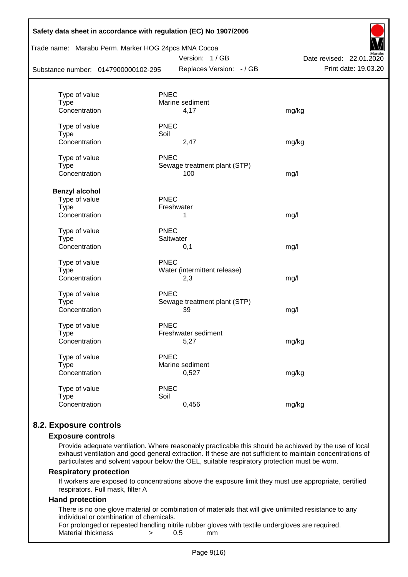| Safety data sheet in accordance with regulation (EC) No 1907/2006<br>Trade name: Marabu Perm. Marker HOG 24pcs MNA Cocoa<br>Substance number: 0147900000102-295 |             | Version: 1/GB<br>Replaces Version: - / GB | Date revised: 22.01.2020<br>Print date: 19.03.20 |
|-----------------------------------------------------------------------------------------------------------------------------------------------------------------|-------------|-------------------------------------------|--------------------------------------------------|
|                                                                                                                                                                 |             |                                           |                                                  |
| Type of value                                                                                                                                                   | <b>PNEC</b> |                                           |                                                  |
| <b>Type</b>                                                                                                                                                     |             | Marine sediment                           |                                                  |
| Concentration                                                                                                                                                   |             | 4,17                                      | mg/kg                                            |
| Type of value                                                                                                                                                   | <b>PNEC</b> |                                           |                                                  |
| <b>Type</b>                                                                                                                                                     | Soil        |                                           |                                                  |
| Concentration                                                                                                                                                   |             | 2,47                                      | mg/kg                                            |
| Type of value                                                                                                                                                   | <b>PNEC</b> |                                           |                                                  |
| <b>Type</b>                                                                                                                                                     |             | Sewage treatment plant (STP)              |                                                  |
| Concentration                                                                                                                                                   |             | 100                                       | mg/l                                             |
| <b>Benzyl alcohol</b>                                                                                                                                           |             |                                           |                                                  |
| Type of value                                                                                                                                                   | <b>PNEC</b> |                                           |                                                  |
| <b>Type</b>                                                                                                                                                     | Freshwater  |                                           |                                                  |
| Concentration                                                                                                                                                   |             | 1                                         | mg/l                                             |
| Type of value                                                                                                                                                   | <b>PNEC</b> |                                           |                                                  |
| <b>Type</b>                                                                                                                                                     | Saltwater   |                                           |                                                  |
| Concentration                                                                                                                                                   |             | 0,1                                       | mg/l                                             |
| Type of value                                                                                                                                                   | <b>PNEC</b> |                                           |                                                  |
| <b>Type</b>                                                                                                                                                     |             | Water (intermittent release)              |                                                  |
| Concentration                                                                                                                                                   |             | 2,3                                       | mg/l                                             |
| Type of value                                                                                                                                                   | <b>PNEC</b> |                                           |                                                  |
| <b>Type</b>                                                                                                                                                     |             | Sewage treatment plant (STP)              |                                                  |
| Concentration                                                                                                                                                   |             | 39                                        | mg/l                                             |
| Type of value                                                                                                                                                   | <b>PNEC</b> |                                           |                                                  |
| <b>Type</b>                                                                                                                                                     |             | Freshwater sediment                       |                                                  |
| Concentration                                                                                                                                                   |             | 5,27                                      | mg/kg                                            |
| Type of value                                                                                                                                                   | <b>PNEC</b> |                                           |                                                  |
| <b>Type</b>                                                                                                                                                     |             | Marine sediment                           |                                                  |
| Concentration                                                                                                                                                   |             | 0,527                                     | mg/kg                                            |
| Type of value                                                                                                                                                   | <b>PNEC</b> |                                           |                                                  |
| <b>Type</b>                                                                                                                                                     | Soil        |                                           |                                                  |
| Concentration                                                                                                                                                   |             | 0,456                                     | mg/kg                                            |
|                                                                                                                                                                 |             |                                           |                                                  |

# **8.2. Exposure controls**

#### **Exposure controls**

Provide adequate ventilation. Where reasonably practicable this should be achieved by the use of local exhaust ventilation and good general extraction. If these are not sufficient to maintain concentrations of particulates and solvent vapour below the OEL, suitable respiratory protection must be worn.

#### **Respiratory protection**

If workers are exposed to concentrations above the exposure limit they must use appropriate, certified respirators. Full mask, filter A

#### **Hand protection**

There is no one glove material or combination of materials that will give unlimited resistance to any individual or combination of chemicals.

For prolonged or repeated handling nitrile rubber gloves with textile undergloves are required. Material thickness  $\rightarrow$  0,5 mm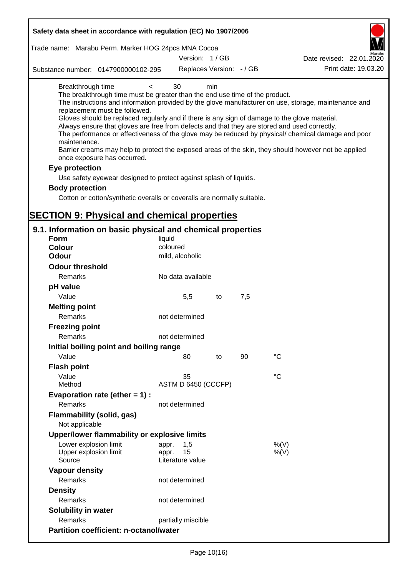| Safety data sheet in accordance with regulation (EC) No 1907/2006                                                                                                                                                                                                                                                                                                                                                                                          |                                                 |     |     |                                                                                                      |  |  |  |
|------------------------------------------------------------------------------------------------------------------------------------------------------------------------------------------------------------------------------------------------------------------------------------------------------------------------------------------------------------------------------------------------------------------------------------------------------------|-------------------------------------------------|-----|-----|------------------------------------------------------------------------------------------------------|--|--|--|
| Trade name: Marabu Perm. Marker HOG 24pcs MNA Cocoa                                                                                                                                                                                                                                                                                                                                                                                                        |                                                 |     |     |                                                                                                      |  |  |  |
|                                                                                                                                                                                                                                                                                                                                                                                                                                                            | Version: 1/GB                                   |     |     | Date revised: 22.01.2020                                                                             |  |  |  |
| Substance number: 0147900000102-295                                                                                                                                                                                                                                                                                                                                                                                                                        | Replaces Version: - / GB                        |     |     | Print date: 19.03.20                                                                                 |  |  |  |
| Breakthrough time<br>$\,<\,$<br>The breakthrough time must be greater than the end use time of the product.<br>replacement must be followed.                                                                                                                                                                                                                                                                                                               | 30                                              | min |     | The instructions and information provided by the glove manufacturer on use, storage, maintenance and |  |  |  |
| Gloves should be replaced regularly and if there is any sign of damage to the glove material.<br>Always ensure that gloves are free from defects and that they are stored and used correctly.<br>The performance or effectiveness of the glove may be reduced by physical/ chemical damage and poor<br>maintenance.<br>Barrier creams may help to protect the exposed areas of the skin, they should however not be applied<br>once exposure has occurred. |                                                 |     |     |                                                                                                      |  |  |  |
| Eye protection                                                                                                                                                                                                                                                                                                                                                                                                                                             |                                                 |     |     |                                                                                                      |  |  |  |
| Use safety eyewear designed to protect against splash of liquids.                                                                                                                                                                                                                                                                                                                                                                                          |                                                 |     |     |                                                                                                      |  |  |  |
| <b>Body protection</b>                                                                                                                                                                                                                                                                                                                                                                                                                                     |                                                 |     |     |                                                                                                      |  |  |  |
| Cotton or cotton/synthetic overalls or coveralls are normally suitable.                                                                                                                                                                                                                                                                                                                                                                                    |                                                 |     |     |                                                                                                      |  |  |  |
|                                                                                                                                                                                                                                                                                                                                                                                                                                                            |                                                 |     |     |                                                                                                      |  |  |  |
| <b>SECTION 9: Physical and chemical properties</b>                                                                                                                                                                                                                                                                                                                                                                                                         |                                                 |     |     |                                                                                                      |  |  |  |
| 9.1. Information on basic physical and chemical properties                                                                                                                                                                                                                                                                                                                                                                                                 |                                                 |     |     |                                                                                                      |  |  |  |
| <b>Form</b>                                                                                                                                                                                                                                                                                                                                                                                                                                                | liquid                                          |     |     |                                                                                                      |  |  |  |
| <b>Colour</b>                                                                                                                                                                                                                                                                                                                                                                                                                                              | coloured                                        |     |     |                                                                                                      |  |  |  |
| <b>Odour</b>                                                                                                                                                                                                                                                                                                                                                                                                                                               | mild, alcoholic                                 |     |     |                                                                                                      |  |  |  |
| <b>Odour threshold</b>                                                                                                                                                                                                                                                                                                                                                                                                                                     |                                                 |     |     |                                                                                                      |  |  |  |
| Remarks                                                                                                                                                                                                                                                                                                                                                                                                                                                    | No data available                               |     |     |                                                                                                      |  |  |  |
| pH value                                                                                                                                                                                                                                                                                                                                                                                                                                                   |                                                 |     |     |                                                                                                      |  |  |  |
| Value                                                                                                                                                                                                                                                                                                                                                                                                                                                      | 5,5                                             | to  | 7,5 |                                                                                                      |  |  |  |
| <b>Melting point</b>                                                                                                                                                                                                                                                                                                                                                                                                                                       |                                                 |     |     |                                                                                                      |  |  |  |
| Remarks                                                                                                                                                                                                                                                                                                                                                                                                                                                    | not determined                                  |     |     |                                                                                                      |  |  |  |
| <b>Freezing point</b>                                                                                                                                                                                                                                                                                                                                                                                                                                      |                                                 |     |     |                                                                                                      |  |  |  |
| Remarks                                                                                                                                                                                                                                                                                                                                                                                                                                                    | not determined                                  |     |     |                                                                                                      |  |  |  |
| Initial boiling point and boiling range                                                                                                                                                                                                                                                                                                                                                                                                                    |                                                 |     |     |                                                                                                      |  |  |  |
| Value                                                                                                                                                                                                                                                                                                                                                                                                                                                      | 80                                              | to  | 90  | $^{\circ}C$                                                                                          |  |  |  |
| <b>Flash point</b>                                                                                                                                                                                                                                                                                                                                                                                                                                         |                                                 |     |     |                                                                                                      |  |  |  |
| Value                                                                                                                                                                                                                                                                                                                                                                                                                                                      | 35                                              |     |     | $^{\circ}C$                                                                                          |  |  |  |
| Method                                                                                                                                                                                                                                                                                                                                                                                                                                                     | ASTM D 6450 (CCCFP)                             |     |     |                                                                                                      |  |  |  |
| Evaporation rate (ether $= 1$ ) :                                                                                                                                                                                                                                                                                                                                                                                                                          |                                                 |     |     |                                                                                                      |  |  |  |
| Remarks                                                                                                                                                                                                                                                                                                                                                                                                                                                    | not determined                                  |     |     |                                                                                                      |  |  |  |
| Flammability (solid, gas)<br>Not applicable                                                                                                                                                                                                                                                                                                                                                                                                                |                                                 |     |     |                                                                                                      |  |  |  |
| Upper/lower flammability or explosive limits                                                                                                                                                                                                                                                                                                                                                                                                               |                                                 |     |     |                                                                                                      |  |  |  |
| Lower explosion limit<br>Upper explosion limit<br>Source                                                                                                                                                                                                                                                                                                                                                                                                   | 1,5<br>appr.<br>15<br>appr.<br>Literature value |     |     | %(V)<br>$%$ (V)                                                                                      |  |  |  |
| <b>Vapour density</b>                                                                                                                                                                                                                                                                                                                                                                                                                                      |                                                 |     |     |                                                                                                      |  |  |  |
| Remarks                                                                                                                                                                                                                                                                                                                                                                                                                                                    | not determined                                  |     |     |                                                                                                      |  |  |  |
| <b>Density</b>                                                                                                                                                                                                                                                                                                                                                                                                                                             |                                                 |     |     |                                                                                                      |  |  |  |
| Remarks                                                                                                                                                                                                                                                                                                                                                                                                                                                    | not determined                                  |     |     |                                                                                                      |  |  |  |
| Solubility in water                                                                                                                                                                                                                                                                                                                                                                                                                                        |                                                 |     |     |                                                                                                      |  |  |  |
| Remarks                                                                                                                                                                                                                                                                                                                                                                                                                                                    | partially miscible                              |     |     |                                                                                                      |  |  |  |
| <b>Partition coefficient: n-octanol/water</b>                                                                                                                                                                                                                                                                                                                                                                                                              |                                                 |     |     |                                                                                                      |  |  |  |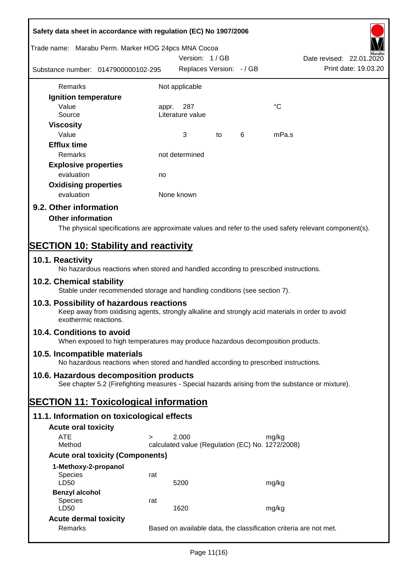| Safety data sheet in accordance with regulation (EC) No 1907/2006                                                                          |                                                                                                                                                                       |            |                          |    |   |                                                           |                                                                                                        |
|--------------------------------------------------------------------------------------------------------------------------------------------|-----------------------------------------------------------------------------------------------------------------------------------------------------------------------|------------|--------------------------|----|---|-----------------------------------------------------------|--------------------------------------------------------------------------------------------------------|
| Trade name: Marabu Perm. Marker HOG 24pcs MNA Cocoa                                                                                        |                                                                                                                                                                       |            | Version: 1/GB            |    |   |                                                           | Date revised: 22.01.2020                                                                               |
|                                                                                                                                            | Substance number: 0147900000102-295                                                                                                                                   |            | Replaces Version: - / GB |    |   |                                                           | Print date: 19.03.20                                                                                   |
| Remarks                                                                                                                                    |                                                                                                                                                                       |            | Not applicable           |    |   |                                                           |                                                                                                        |
| Ignition temperature                                                                                                                       |                                                                                                                                                                       |            |                          |    |   |                                                           |                                                                                                        |
| Value<br>Source                                                                                                                            |                                                                                                                                                                       | appr.      | 287<br>Literature value  |    |   | $^{\circ}C$                                               |                                                                                                        |
| <b>Viscosity</b><br>Value                                                                                                                  |                                                                                                                                                                       |            | 3                        | to | 6 | mPa.s                                                     |                                                                                                        |
| <b>Efflux time</b><br>Remarks                                                                                                              |                                                                                                                                                                       |            | not determined           |    |   |                                                           |                                                                                                        |
| <b>Explosive properties</b>                                                                                                                |                                                                                                                                                                       |            |                          |    |   |                                                           |                                                                                                        |
| evaluation                                                                                                                                 |                                                                                                                                                                       | no         |                          |    |   |                                                           |                                                                                                        |
| <b>Oxidising properties</b>                                                                                                                |                                                                                                                                                                       |            |                          |    |   |                                                           |                                                                                                        |
| evaluation                                                                                                                                 |                                                                                                                                                                       | None known |                          |    |   |                                                           |                                                                                                        |
| 9.2. Other information                                                                                                                     |                                                                                                                                                                       |            |                          |    |   |                                                           |                                                                                                        |
| <b>Other information</b>                                                                                                                   |                                                                                                                                                                       |            |                          |    |   |                                                           |                                                                                                        |
|                                                                                                                                            |                                                                                                                                                                       |            |                          |    |   |                                                           | The physical specifications are approximate values and refer to the used safety relevant component(s). |
| <b>SECTION 10: Stability and reactivity</b>                                                                                                |                                                                                                                                                                       |            |                          |    |   |                                                           |                                                                                                        |
| 10.1. Reactivity                                                                                                                           | No hazardous reactions when stored and handled according to prescribed instructions.                                                                                  |            |                          |    |   |                                                           |                                                                                                        |
| 10.2. Chemical stability                                                                                                                   | Stable under recommended storage and handling conditions (see section 7).                                                                                             |            |                          |    |   |                                                           |                                                                                                        |
|                                                                                                                                            | 10.3. Possibility of hazardous reactions<br>Keep away from oxidising agents, strongly alkaline and strongly acid materials in order to avoid<br>exothermic reactions. |            |                          |    |   |                                                           |                                                                                                        |
| 10.4. Conditions to avoid                                                                                                                  | When exposed to high temperatures may produce hazardous decomposition products.                                                                                       |            |                          |    |   |                                                           |                                                                                                        |
| 10.5. Incompatible materials<br>No hazardous reactions when stored and handled according to prescribed instructions.                       |                                                                                                                                                                       |            |                          |    |   |                                                           |                                                                                                        |
|                                                                                                                                            |                                                                                                                                                                       |            |                          |    |   |                                                           |                                                                                                        |
| 10.6. Hazardous decomposition products<br>See chapter 5.2 (Firefighting measures - Special hazards arising from the substance or mixture). |                                                                                                                                                                       |            |                          |    |   |                                                           |                                                                                                        |
| <b>SECTION 11: Toxicological information</b>                                                                                               |                                                                                                                                                                       |            |                          |    |   |                                                           |                                                                                                        |
|                                                                                                                                            | 11.1. Information on toxicological effects                                                                                                                            |            |                          |    |   |                                                           |                                                                                                        |
| <b>Acute oral toxicity</b>                                                                                                                 |                                                                                                                                                                       |            |                          |    |   |                                                           |                                                                                                        |
| <b>ATE</b><br>Method                                                                                                                       | $\geq$                                                                                                                                                                |            | 2.000                    |    |   | mg/kg<br>calculated value (Regulation (EC) No. 1272/2008) |                                                                                                        |
| <b>Acute oral toxicity (Components)</b>                                                                                                    |                                                                                                                                                                       |            |                          |    |   |                                                           |                                                                                                        |
| 1-Methoxy-2-propanol                                                                                                                       |                                                                                                                                                                       |            |                          |    |   |                                                           |                                                                                                        |
| Species<br>LD50                                                                                                                            | rat                                                                                                                                                                   |            | 5200                     |    |   | mg/kg                                                     |                                                                                                        |
| <b>Benzyl alcohol</b>                                                                                                                      |                                                                                                                                                                       |            |                          |    |   |                                                           |                                                                                                        |
| Species<br>LD50                                                                                                                            | rat                                                                                                                                                                   |            | 1620                     |    |   | mg/kg                                                     |                                                                                                        |
| <b>Acute dermal toxicity</b>                                                                                                               |                                                                                                                                                                       |            |                          |    |   |                                                           |                                                                                                        |
| Remarks                                                                                                                                    |                                                                                                                                                                       |            |                          |    |   |                                                           | Based on available data, the classification criteria are not met.                                      |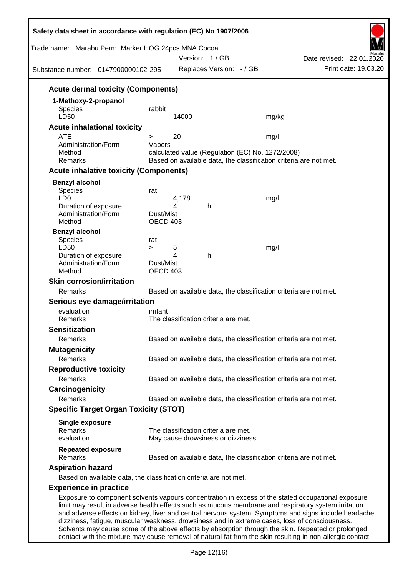| Safety data sheet in accordance with regulation (EC) No 1907/2006<br>Trade name: Marabu Perm. Marker HOG 24pcs MNA Cocoa                                                                                                                                                                                                                                                                                              |                                                                                                                       |        | Version: 1/GB                        |       | Date revised: 22.01.2020                                          |  |
|-----------------------------------------------------------------------------------------------------------------------------------------------------------------------------------------------------------------------------------------------------------------------------------------------------------------------------------------------------------------------------------------------------------------------|-----------------------------------------------------------------------------------------------------------------------|--------|--------------------------------------|-------|-------------------------------------------------------------------|--|
| Substance number: 0147900000102-295                                                                                                                                                                                                                                                                                                                                                                                   |                                                                                                                       |        | Replaces Version: - / GB             |       | Print date: 19.03.20                                              |  |
| <b>Acute dermal toxicity (Components)</b>                                                                                                                                                                                                                                                                                                                                                                             |                                                                                                                       |        |                                      |       |                                                                   |  |
| 1-Methoxy-2-propanol                                                                                                                                                                                                                                                                                                                                                                                                  |                                                                                                                       |        |                                      |       |                                                                   |  |
| <b>Species</b>                                                                                                                                                                                                                                                                                                                                                                                                        | rabbit                                                                                                                |        |                                      |       |                                                                   |  |
| LD50                                                                                                                                                                                                                                                                                                                                                                                                                  |                                                                                                                       | 14000  |                                      | mg/kg |                                                                   |  |
| <b>Acute inhalational toxicity</b>                                                                                                                                                                                                                                                                                                                                                                                    |                                                                                                                       |        |                                      |       |                                                                   |  |
| <b>ATE</b><br>Administration/Form                                                                                                                                                                                                                                                                                                                                                                                     | ><br>Vapors                                                                                                           | 20     |                                      | mg/l  |                                                                   |  |
| Method                                                                                                                                                                                                                                                                                                                                                                                                                |                                                                                                                       |        |                                      |       |                                                                   |  |
| Remarks                                                                                                                                                                                                                                                                                                                                                                                                               | calculated value (Regulation (EC) No. 1272/2008)<br>Based on available data, the classification criteria are not met. |        |                                      |       |                                                                   |  |
| <b>Acute inhalative toxicity (Components)</b>                                                                                                                                                                                                                                                                                                                                                                         |                                                                                                                       |        |                                      |       |                                                                   |  |
| <b>Benzyl alcohol</b>                                                                                                                                                                                                                                                                                                                                                                                                 |                                                                                                                       |        |                                      |       |                                                                   |  |
| Species                                                                                                                                                                                                                                                                                                                                                                                                               | rat                                                                                                                   |        |                                      |       |                                                                   |  |
| LD <sub>0</sub>                                                                                                                                                                                                                                                                                                                                                                                                       |                                                                                                                       | 4,178  |                                      | mg/l  |                                                                   |  |
| Duration of exposure<br>Administration/Form                                                                                                                                                                                                                                                                                                                                                                           | Dust/Mist                                                                                                             | 4      | h                                    |       |                                                                   |  |
| Method                                                                                                                                                                                                                                                                                                                                                                                                                | <b>OECD 403</b>                                                                                                       |        |                                      |       |                                                                   |  |
| <b>Benzyl alcohol</b>                                                                                                                                                                                                                                                                                                                                                                                                 |                                                                                                                       |        |                                      |       |                                                                   |  |
| Species                                                                                                                                                                                                                                                                                                                                                                                                               | rat                                                                                                                   |        |                                      |       |                                                                   |  |
| LD50<br>Duration of exposure                                                                                                                                                                                                                                                                                                                                                                                          | $\geq$                                                                                                                | 5<br>4 | h                                    | mg/l  |                                                                   |  |
| Administration/Form                                                                                                                                                                                                                                                                                                                                                                                                   | Dust/Mist                                                                                                             |        |                                      |       |                                                                   |  |
| Method                                                                                                                                                                                                                                                                                                                                                                                                                | <b>OECD 403</b>                                                                                                       |        |                                      |       |                                                                   |  |
| <b>Skin corrosion/irritation</b>                                                                                                                                                                                                                                                                                                                                                                                      |                                                                                                                       |        |                                      |       |                                                                   |  |
| Remarks                                                                                                                                                                                                                                                                                                                                                                                                               |                                                                                                                       |        |                                      |       | Based on available data, the classification criteria are not met. |  |
| Serious eye damage/irritation                                                                                                                                                                                                                                                                                                                                                                                         |                                                                                                                       |        |                                      |       |                                                                   |  |
| evaluation                                                                                                                                                                                                                                                                                                                                                                                                            | irritant                                                                                                              |        |                                      |       |                                                                   |  |
| Remarks                                                                                                                                                                                                                                                                                                                                                                                                               |                                                                                                                       |        | The classification criteria are met. |       |                                                                   |  |
| <b>Sensitization</b>                                                                                                                                                                                                                                                                                                                                                                                                  |                                                                                                                       |        |                                      |       |                                                                   |  |
| Remarks                                                                                                                                                                                                                                                                                                                                                                                                               |                                                                                                                       |        |                                      |       | Based on available data, the classification criteria are not met. |  |
| <b>Mutagenicity</b>                                                                                                                                                                                                                                                                                                                                                                                                   |                                                                                                                       |        |                                      |       |                                                                   |  |
| Remarks                                                                                                                                                                                                                                                                                                                                                                                                               |                                                                                                                       |        |                                      |       | Based on available data, the classification criteria are not met. |  |
| <b>Reproductive toxicity</b>                                                                                                                                                                                                                                                                                                                                                                                          |                                                                                                                       |        |                                      |       |                                                                   |  |
| Remarks                                                                                                                                                                                                                                                                                                                                                                                                               |                                                                                                                       |        |                                      |       | Based on available data, the classification criteria are not met. |  |
| Carcinogenicity                                                                                                                                                                                                                                                                                                                                                                                                       |                                                                                                                       |        |                                      |       |                                                                   |  |
| Remarks                                                                                                                                                                                                                                                                                                                                                                                                               |                                                                                                                       |        |                                      |       | Based on available data, the classification criteria are not met. |  |
| <b>Specific Target Organ Toxicity (STOT)</b>                                                                                                                                                                                                                                                                                                                                                                          |                                                                                                                       |        |                                      |       |                                                                   |  |
| <b>Single exposure</b>                                                                                                                                                                                                                                                                                                                                                                                                |                                                                                                                       |        |                                      |       |                                                                   |  |
| Remarks                                                                                                                                                                                                                                                                                                                                                                                                               |                                                                                                                       |        | The classification criteria are met. |       |                                                                   |  |
| evaluation                                                                                                                                                                                                                                                                                                                                                                                                            |                                                                                                                       |        | May cause drowsiness or dizziness.   |       |                                                                   |  |
| <b>Repeated exposure</b><br>Remarks                                                                                                                                                                                                                                                                                                                                                                                   |                                                                                                                       |        |                                      |       | Based on available data, the classification criteria are not met. |  |
| <b>Aspiration hazard</b>                                                                                                                                                                                                                                                                                                                                                                                              |                                                                                                                       |        |                                      |       |                                                                   |  |
| Based on available data, the classification criteria are not met.                                                                                                                                                                                                                                                                                                                                                     |                                                                                                                       |        |                                      |       |                                                                   |  |
| <b>Experience in practice</b>                                                                                                                                                                                                                                                                                                                                                                                         |                                                                                                                       |        |                                      |       |                                                                   |  |
| Exposure to component solvents vapours concentration in excess of the stated occupational exposure<br>limit may result in adverse health effects such as mucous membrane and respiratory system irritation<br>and adverse effects on kidney, liver and central nervous system. Symptoms and signs include headache,<br>dizziness, fatigue, muscular weakness, drowsiness and in extreme cases, loss of consciousness. |                                                                                                                       |        |                                      |       |                                                                   |  |

Solvents may cause some of the above effects by absorption through the skin. Repeated or prolonged contact with the mixture may cause removal of natural fat from the skin resulting in non-allergic contact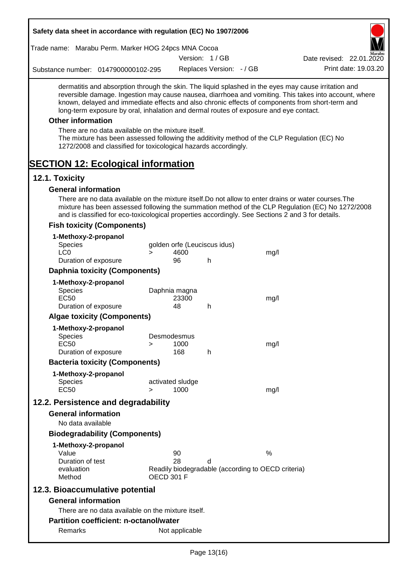| Safety data sheet in accordance with regulation (EC) No 1907/2006                                                                                                                                                                                                                                                                                                                                                                                                                                                                                    |                   |                  |                              |                                                    |                                                                                                       |
|------------------------------------------------------------------------------------------------------------------------------------------------------------------------------------------------------------------------------------------------------------------------------------------------------------------------------------------------------------------------------------------------------------------------------------------------------------------------------------------------------------------------------------------------------|-------------------|------------------|------------------------------|----------------------------------------------------|-------------------------------------------------------------------------------------------------------|
| Trade name: Marabu Perm. Marker HOG 24pcs MNA Cocoa                                                                                                                                                                                                                                                                                                                                                                                                                                                                                                  |                   |                  |                              |                                                    |                                                                                                       |
|                                                                                                                                                                                                                                                                                                                                                                                                                                                                                                                                                      |                   |                  | Version: 1/GB                |                                                    | Date revised: 22.01.2020                                                                              |
| Substance number: 0147900000102-295                                                                                                                                                                                                                                                                                                                                                                                                                                                                                                                  |                   |                  | Replaces Version: - / GB     |                                                    | Print date: 19.03.20                                                                                  |
| dermatitis and absorption through the skin. The liquid splashed in the eyes may cause irritation and<br>known, delayed and immediate effects and also chronic effects of components from short-term and<br>long-term exposure by oral, inhalation and dermal routes of exposure and eye contact.<br><b>Other information</b><br>There are no data available on the mixture itself.<br>The mixture has been assessed following the additivity method of the CLP Regulation (EC) No<br>1272/2008 and classified for toxicological hazards accordingly. |                   |                  |                              |                                                    | reversible damage. Ingestion may cause nausea, diarrhoea and vomiting. This takes into account, where |
| <b>SECTION 12: Ecological information</b>                                                                                                                                                                                                                                                                                                                                                                                                                                                                                                            |                   |                  |                              |                                                    |                                                                                                       |
| 12.1. Toxicity<br><b>General information</b>                                                                                                                                                                                                                                                                                                                                                                                                                                                                                                         |                   |                  |                              |                                                    |                                                                                                       |
| There are no data available on the mixture itself. Do not allow to enter drains or water courses. The<br>and is classified for eco-toxicological properties accordingly. See Sections 2 and 3 for details.                                                                                                                                                                                                                                                                                                                                           |                   |                  |                              |                                                    | mixture has been assessed following the summation method of the CLP Regulation (EC) No 1272/2008      |
| <b>Fish toxicity (Components)</b>                                                                                                                                                                                                                                                                                                                                                                                                                                                                                                                    |                   |                  |                              |                                                    |                                                                                                       |
| 1-Methoxy-2-propanol<br><b>Species</b>                                                                                                                                                                                                                                                                                                                                                                                                                                                                                                               |                   |                  | golden orfe (Leuciscus idus) |                                                    |                                                                                                       |
| LC <sub>0</sub>                                                                                                                                                                                                                                                                                                                                                                                                                                                                                                                                      | $\geq$            | 4600             |                              | mg/l                                               |                                                                                                       |
| Duration of exposure                                                                                                                                                                                                                                                                                                                                                                                                                                                                                                                                 |                   | 96               | h                            |                                                    |                                                                                                       |
| <b>Daphnia toxicity (Components)</b>                                                                                                                                                                                                                                                                                                                                                                                                                                                                                                                 |                   |                  |                              |                                                    |                                                                                                       |
| 1-Methoxy-2-propanol                                                                                                                                                                                                                                                                                                                                                                                                                                                                                                                                 |                   |                  |                              |                                                    |                                                                                                       |
| Species                                                                                                                                                                                                                                                                                                                                                                                                                                                                                                                                              |                   | Daphnia magna    |                              |                                                    |                                                                                                       |
| <b>EC50</b><br>Duration of exposure                                                                                                                                                                                                                                                                                                                                                                                                                                                                                                                  |                   | 23300<br>48      | h                            | mg/l                                               |                                                                                                       |
| <b>Algae toxicity (Components)</b>                                                                                                                                                                                                                                                                                                                                                                                                                                                                                                                   |                   |                  |                              |                                                    |                                                                                                       |
| 1-Methoxy-2-propanol                                                                                                                                                                                                                                                                                                                                                                                                                                                                                                                                 |                   |                  |                              |                                                    |                                                                                                       |
| <b>Species</b>                                                                                                                                                                                                                                                                                                                                                                                                                                                                                                                                       |                   | Desmodesmus      |                              |                                                    |                                                                                                       |
| <b>EC50</b>                                                                                                                                                                                                                                                                                                                                                                                                                                                                                                                                          | $\geq$            | 1000             |                              | mg/l                                               |                                                                                                       |
| Duration of exposure                                                                                                                                                                                                                                                                                                                                                                                                                                                                                                                                 |                   | 168              | h                            |                                                    |                                                                                                       |
| <b>Bacteria toxicity (Components)</b>                                                                                                                                                                                                                                                                                                                                                                                                                                                                                                                |                   |                  |                              |                                                    |                                                                                                       |
| 1-Methoxy-2-propanol                                                                                                                                                                                                                                                                                                                                                                                                                                                                                                                                 |                   |                  |                              |                                                    |                                                                                                       |
| <b>Species</b>                                                                                                                                                                                                                                                                                                                                                                                                                                                                                                                                       |                   | activated sludge |                              |                                                    |                                                                                                       |
| <b>EC50</b>                                                                                                                                                                                                                                                                                                                                                                                                                                                                                                                                          | $\geq$            | 1000             |                              | mg/l                                               |                                                                                                       |
| 12.2. Persistence and degradability                                                                                                                                                                                                                                                                                                                                                                                                                                                                                                                  |                   |                  |                              |                                                    |                                                                                                       |
| <b>General information</b>                                                                                                                                                                                                                                                                                                                                                                                                                                                                                                                           |                   |                  |                              |                                                    |                                                                                                       |
| No data available                                                                                                                                                                                                                                                                                                                                                                                                                                                                                                                                    |                   |                  |                              |                                                    |                                                                                                       |
| <b>Biodegradability (Components)</b>                                                                                                                                                                                                                                                                                                                                                                                                                                                                                                                 |                   |                  |                              |                                                    |                                                                                                       |
| 1-Methoxy-2-propanol                                                                                                                                                                                                                                                                                                                                                                                                                                                                                                                                 |                   |                  |                              |                                                    |                                                                                                       |
| Value                                                                                                                                                                                                                                                                                                                                                                                                                                                                                                                                                |                   | 90               |                              | $\%$                                               |                                                                                                       |
| Duration of test<br>evaluation<br>Method                                                                                                                                                                                                                                                                                                                                                                                                                                                                                                             | <b>OECD 301 F</b> | 28               | d                            | Readily biodegradable (according to OECD criteria) |                                                                                                       |
| 12.3. Bioaccumulative potential                                                                                                                                                                                                                                                                                                                                                                                                                                                                                                                      |                   |                  |                              |                                                    |                                                                                                       |
| <b>General information</b>                                                                                                                                                                                                                                                                                                                                                                                                                                                                                                                           |                   |                  |                              |                                                    |                                                                                                       |
| There are no data available on the mixture itself.                                                                                                                                                                                                                                                                                                                                                                                                                                                                                                   |                   |                  |                              |                                                    |                                                                                                       |
| <b>Partition coefficient: n-octanol/water</b>                                                                                                                                                                                                                                                                                                                                                                                                                                                                                                        |                   |                  |                              |                                                    |                                                                                                       |
| Remarks                                                                                                                                                                                                                                                                                                                                                                                                                                                                                                                                              |                   | Not applicable   |                              |                                                    |                                                                                                       |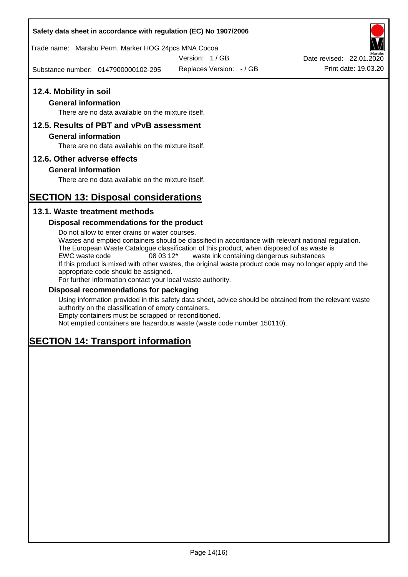### **Safety data sheet in accordance with regulation (EC) No 1907/2006**

Trade name: Marabu Perm. Marker HOG 24pcs MNA Cocoa

Version: 1 / GB

Substance number: 0147900000102-295

Replaces Version: - / GB Print date: 19.03.20 Date revised: 22.01.2020

# **12.4. Mobility in soil**

# **General information**

There are no data available on the mixture itself.

# **12.5. Results of PBT and vPvB assessment**

### **General information**

There are no data available on the mixture itself.

### **12.6. Other adverse effects**

### **General information**

There are no data available on the mixture itself.

# **SECTION 13: Disposal considerations**

### **13.1. Waste treatment methods**

### **Disposal recommendations for the product**

Do not allow to enter drains or water courses. Wastes and emptied containers should be classified in accordance with relevant national regulation. The European Waste Catalogue classification of this product, when disposed of as waste is EWC waste code 08 03 12\* waste ink containing dangerous substances If this product is mixed with other wastes, the original waste product code may no longer apply and the appropriate code should be assigned. For further information contact your local waste authority.

### **Disposal recommendations for packaging**

Using information provided in this safety data sheet, advice should be obtained from the relevant waste authority on the classification of empty containers. Empty containers must be scrapped or reconditioned.

Not emptied containers are hazardous waste (waste code number 150110).

# **SECTION 14: Transport information**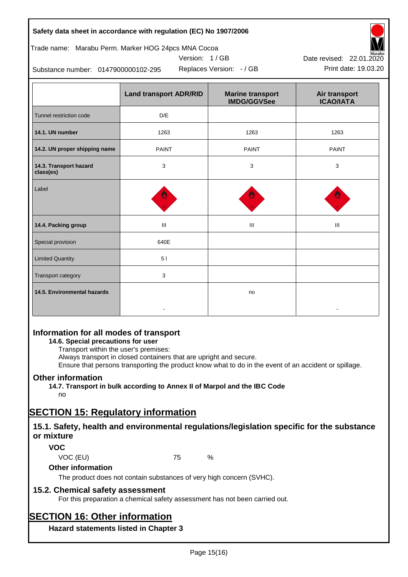| Safety data sheet in accordance with regulation (EC) No 1907/2006 |  |
|-------------------------------------------------------------------|--|
|-------------------------------------------------------------------|--|

### Trade name: Marabu Perm. Marker HOG 24pcs MNA Cocoa

Version: 1 / GB



Replaces Version:  $-$  / GB Print date: 19.03.20 Date revised: 22.01.2020

Substance number: 0147900000102-295

|                                     | <b>Land transport ADR/RID</b> | <b>Marine transport</b><br><b>IMDG/GGVSee</b> | Air transport<br><b>ICAO/IATA</b> |
|-------------------------------------|-------------------------------|-----------------------------------------------|-----------------------------------|
| Tunnel restriction code             | D/E                           |                                               |                                   |
| 14.1. UN number                     | 1263                          | 1263                                          | 1263                              |
| 14.2. UN proper shipping name       | <b>PAINT</b>                  | <b>PAINT</b>                                  | <b>PAINT</b>                      |
| 14.3. Transport hazard<br>class(es) | 3                             | 3                                             | 3                                 |
| Label                               |                               |                                               |                                   |
| 14.4. Packing group                 | Ш                             | Ш                                             | Ш                                 |
| Special provision                   | 640E                          |                                               |                                   |
| <b>Limited Quantity</b>             | 51                            |                                               |                                   |
| Transport category                  | 3                             |                                               |                                   |
| 14.5. Environmental hazards         |                               | no                                            |                                   |

# **Information for all modes of transport**

# **14.6. Special precautions for user**

Transport within the user's premises:

Always transport in closed containers that are upright and secure.

Ensure that persons transporting the product know what to do in the event of an accident or spillage.

# **Other information**

**14.7. Transport in bulk according to Annex II of Marpol and the IBC Code**

# no

# **SECTION 15: Regulatory information**

# **15.1. Safety, health and environmental regulations/legislation specific for the substance or mixture**

# **VOC**

VOC (EU) 75 %

# **Other information**

The product does not contain substances of very high concern (SVHC).

# **15.2. Chemical safety assessment**

For this preparation a chemical safety assessment has not been carried out.

# **SECTION 16: Other information**

**Hazard statements listed in Chapter 3**